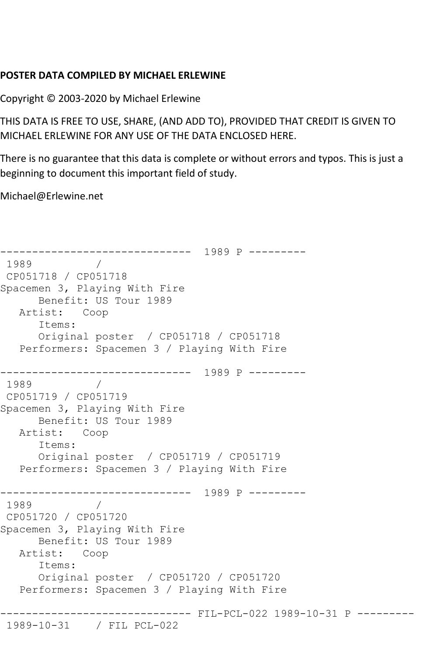## **POSTER DATA COMPILED BY MICHAEL ERLEWINE**

Copyright © 2003-2020 by Michael Erlewine

THIS DATA IS FREE TO USE, SHARE, (AND ADD TO), PROVIDED THAT CREDIT IS GIVEN TO MICHAEL ERLEWINE FOR ANY USE OF THE DATA ENCLOSED HERE.

There is no guarantee that this data is complete or without errors and typos. This is just a beginning to document this important field of study.

Michael@Erlewine.net

------------------------------ 1989 P --------- 1989 / CP051718 / CP051718 Spacemen 3, Playing With Fire Benefit: US Tour 1989 Artist: Coop Items: Original poster / CP051718 / CP051718 Performers: Spacemen 3 / Playing With Fire ------------------------------ 1989 P --------- 1989 / CP051719 / CP051719 Spacemen 3, Playing With Fire Benefit: US Tour 1989 Artist: Coop Items: Original poster / CP051719 / CP051719 Performers: Spacemen 3 / Playing With Fire ------------------------------ 1989 P --------- 1989 / CP051720 / CP051720 Spacemen 3, Playing With Fire Benefit: US Tour 1989 Artist: Coop Items: Original poster / CP051720 / CP051720 Performers: Spacemen 3 / Playing With Fire ------------------------------ FIL-PCL-022 1989-10-31 P --------- 1989-10-31 / FIL PCL-022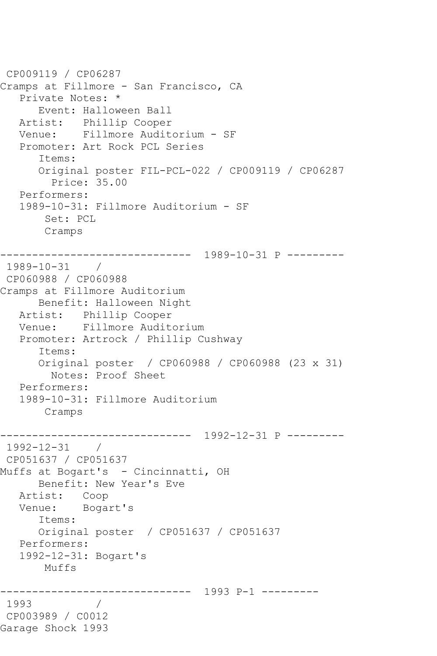```
CP009119 / CP06287
Cramps at Fillmore - San Francisco, CA
   Private Notes: *
      Event: Halloween Ball
   Artist: Phillip Cooper
   Venue: Fillmore Auditorium - SF
   Promoter: Art Rock PCL Series
      Items:
      Original poster FIL-PCL-022 / CP009119 / CP06287
         Price: 35.00
   Performers:
   1989-10-31: Fillmore Auditorium - SF
        Set: PCL
       Cramps
------------------------------ 1989-10-31 P ---------
1989-10-31 / 
CP060988 / CP060988
Cramps at Fillmore Auditorium
      Benefit: Halloween Night
   Artist: Phillip Cooper
   Venue: Fillmore Auditorium
   Promoter: Artrock / Phillip Cushway
      Items:
      Original poster / CP060988 / CP060988 (23 x 31)
        Notes: Proof Sheet
   Performers:
   1989-10-31: Fillmore Auditorium
       Cramps
      ------------------------------ 1992-12-31 P ---------
1992-12-31 / 
CP051637 / CP051637
Muffs at Bogart's - Cincinnatti, OH
      Benefit: New Year's Eve
   Artist: Coop
   Venue: Bogart's
      Items:
      Original poster / CP051637 / CP051637
   Performers:
   1992-12-31: Bogart's
       Muffs
------------------------------ 1993 P-1 ---------
1993 / 
CP003989 / C0012
Garage Shock 1993
```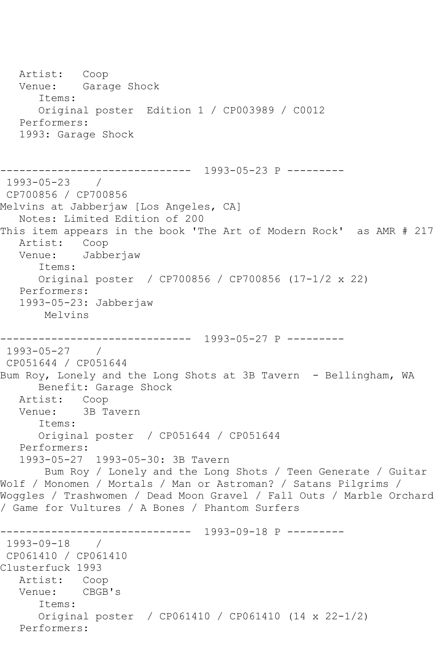Artist: Coop Venue: Garage Shock Items: Original poster Edition 1 / CP003989 / C0012 Performers: 1993: Garage Shock ------------------------------ 1993-05-23 P --------- 1993-05-23 / CP700856 / CP700856 Melvins at Jabberjaw [Los Angeles, CA] Notes: Limited Edition of 200 This item appears in the book 'The Art of Modern Rock' as AMR # 217 Artist: Coop Venue: Jabberjaw Items: Original poster / CP700856 / CP700856 (17-1/2 x 22) Performers: 1993-05-23: Jabberjaw Melvins ------------------------------ 1993-05-27 P --------- 1993-05-27 / CP051644 / CP051644 Bum Roy, Lonely and the Long Shots at 3B Tavern - Bellingham, WA Benefit: Garage Shock Artist: Coop Venue: 3B Tavern Items: Original poster / CP051644 / CP051644 Performers: 1993-05-27 1993-05-30: 3B Tavern Bum Roy / Lonely and the Long Shots / Teen Generate / Guitar Wolf / Monomen / Mortals / Man or Astroman? / Satans Pilgrims / Woggles / Trashwomen / Dead Moon Gravel / Fall Outs / Marble Orchard / Game for Vultures / A Bones / Phantom Surfers ------------------------------ 1993-09-18 P --------- 1993-09-18 / CP061410 / CP061410 Clusterfuck 1993 Artist: Coop Venue: CBGB's Items: Original poster / CP061410 / CP061410 (14 x 22-1/2) Performers: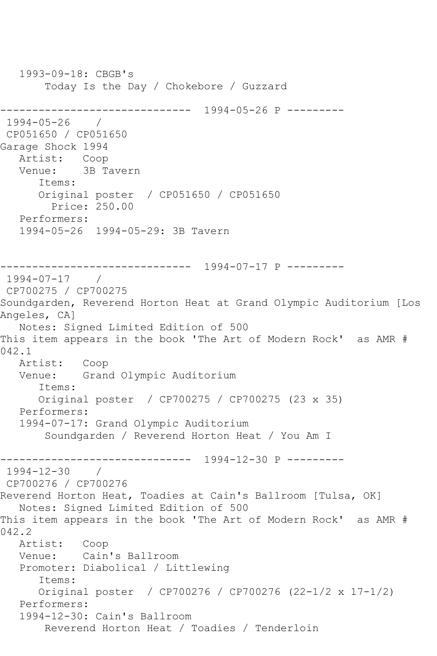1993-09-18: CBGB's Today Is the Day / Chokebore / Guzzard ------------------------------ 1994-05-26 P --------- 1994-05-26 / CP051650 / CP051650 Garage Shock 1994 Artist: Coop Venue: 3B Tavern Items: Original poster / CP051650 / CP051650 Price: 250.00 Performers: 1994-05-26 1994-05-29: 3B Tavern ------------------------------ 1994-07-17 P --------- 1994-07-17 / CP700275 / CP700275 Soundgarden, Reverend Horton Heat at Grand Olympic Auditorium [Los Angeles, CA] Notes: Signed Limited Edition of 500 This item appears in the book 'The Art of Modern Rock' as AMR # 042.1 Artist: Coop<br>Venue: Gran Grand Olympic Auditorium Items: Original poster / CP700275 / CP700275 (23 x 35) Performers: 1994-07-17: Grand Olympic Auditorium Soundgarden / Reverend Horton Heat / You Am I ------------------------------ 1994-12-30 P ---------  $1994 - 12 - 30$ CP700276 / CP700276 Reverend Horton Heat, Toadies at Cain's Ballroom [Tulsa, OK] Notes: Signed Limited Edition of 500 This item appears in the book 'The Art of Modern Rock' as AMR # 042.2 Artist: Coop Venue: Cain's Ballroom Promoter: Diabolical / Littlewing Items: Original poster / CP700276 / CP700276 (22-1/2 x 17-1/2) Performers: 1994-12-30: Cain's Ballroom Reverend Horton Heat / Toadies / Tenderloin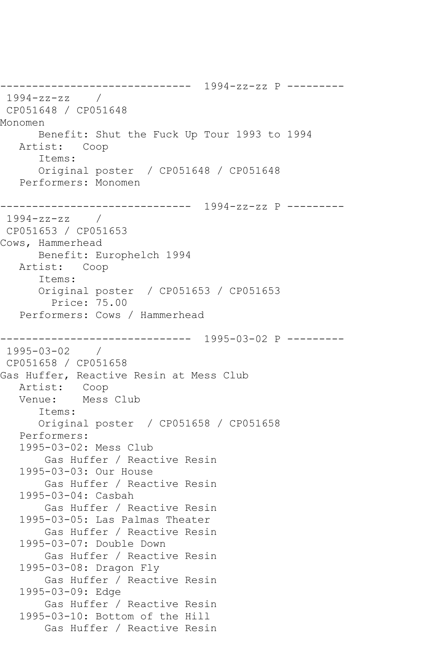------------------------------ 1994-zz-zz P --------- 1994-zz-zz / CP051648 / CP051648 Monomen Benefit: Shut the Fuck Up Tour 1993 to 1994 Artist: Coop Items: Original poster / CP051648 / CP051648 Performers: Monomen ------------------------------ 1994-zz-zz P --------- 1994-zz-zz / CP051653 / CP051653 Cows, Hammerhead Benefit: Europhelch 1994 Artist: Coop Items: Original poster / CP051653 / CP051653 Price: 75.00 Performers: Cows / Hammerhead ------------------------------ 1995-03-02 P --------- 1995-03-02 / CP051658 / CP051658 Gas Huffer, Reactive Resin at Mess Club Artist: Coop Venue: Mess Club Items: Original poster / CP051658 / CP051658 Performers: 1995-03-02: Mess Club Gas Huffer / Reactive Resin 1995-03-03: Our House Gas Huffer / Reactive Resin 1995-03-04: Casbah Gas Huffer / Reactive Resin 1995-03-05: Las Palmas Theater Gas Huffer / Reactive Resin 1995-03-07: Double Down Gas Huffer / Reactive Resin 1995-03-08: Dragon Fly Gas Huffer / Reactive Resin 1995-03-09: Edge Gas Huffer / Reactive Resin 1995-03-10: Bottom of the Hill Gas Huffer / Reactive Resin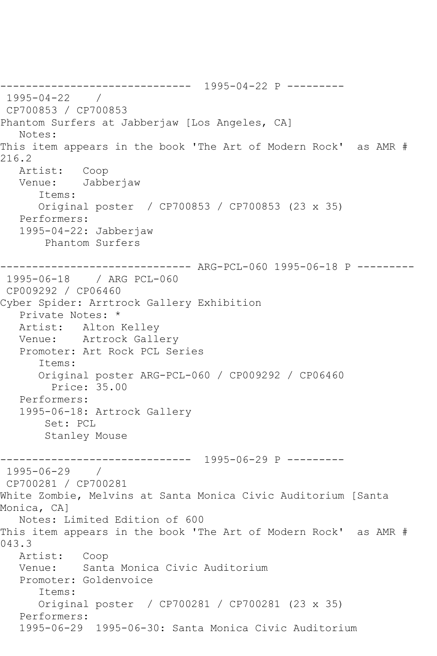------------------------------ 1995-04-22 P --------- 1995-04-22 / CP700853 / CP700853 Phantom Surfers at Jabberjaw [Los Angeles, CA] Notes: This item appears in the book 'The Art of Modern Rock' as AMR # 216.2 Artist: Coop Venue: Jabberjaw Items: Original poster / CP700853 / CP700853 (23 x 35) Performers: 1995-04-22: Jabberjaw Phantom Surfers ------------------------------ ARG-PCL-060 1995-06-18 P --------- 1995-06-18 / ARG PCL-060 CP009292 / CP06460 Cyber Spider: Arrtrock Gallery Exhibition Private Notes: \* Artist: Alton Kelley Venue: Artrock Gallery Promoter: Art Rock PCL Series Items: Original poster ARG-PCL-060 / CP009292 / CP06460 Price: 35.00 Performers: 1995-06-18: Artrock Gallery Set: PCL Stanley Mouse ------------------------------ 1995-06-29 P --------- 1995-06-29 / CP700281 / CP700281 White Zombie, Melvins at Santa Monica Civic Auditorium [Santa Monica, CA] Notes: Limited Edition of 600 This item appears in the book 'The Art of Modern Rock' as AMR # 043.3 Artist: Coop Venue: Santa Monica Civic Auditorium Promoter: Goldenvoice Items: Original poster / CP700281 / CP700281 (23 x 35) Performers: 1995-06-29 1995-06-30: Santa Monica Civic Auditorium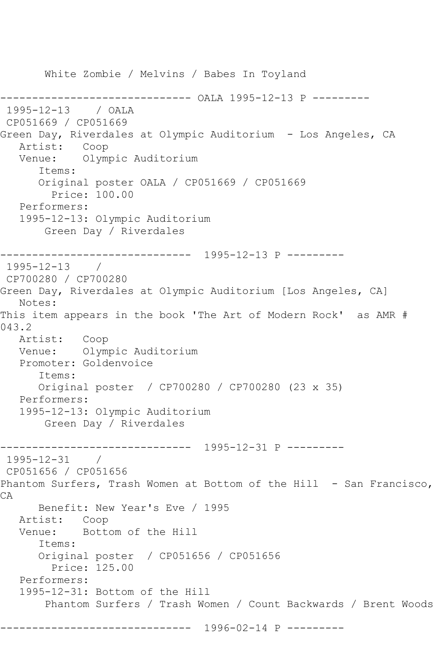White Zombie / Melvins / Babes In Toyland ------------------------------ OALA 1995-12-13 P --------- 1995-12-13 / OALA CP051669 / CP051669 Green Day, Riverdales at Olympic Auditorium - Los Angeles, CA Artist: Coop Venue: Olympic Auditorium Items: Original poster OALA / CP051669 / CP051669 Price: 100.00 Performers: 1995-12-13: Olympic Auditorium Green Day / Riverdales ------------------------------ 1995-12-13 P --------- 1995-12-13 / CP700280 / CP700280 Green Day, Riverdales at Olympic Auditorium [Los Angeles, CA] Notes: This item appears in the book 'The Art of Modern Rock' as AMR # 043.2 Artist: Coop Venue: Olympic Auditorium Promoter: Goldenvoice Items: Original poster / CP700280 / CP700280 (23 x 35) Performers: 1995-12-13: Olympic Auditorium Green Day / Riverdales ------------------------------ 1995-12-31 P --------- 1995-12-31 / CP051656 / CP051656 Phantom Surfers, Trash Women at Bottom of the Hill - San Francisco, CA Benefit: New Year's Eve / 1995 Artist: Coop Venue: Bottom of the Hill Items: Original poster / CP051656 / CP051656 Price: 125.00 Performers: 1995-12-31: Bottom of the Hill Phantom Surfers / Trash Women / Count Backwards / Brent Woods ------------------------------ 1996-02-14 P ---------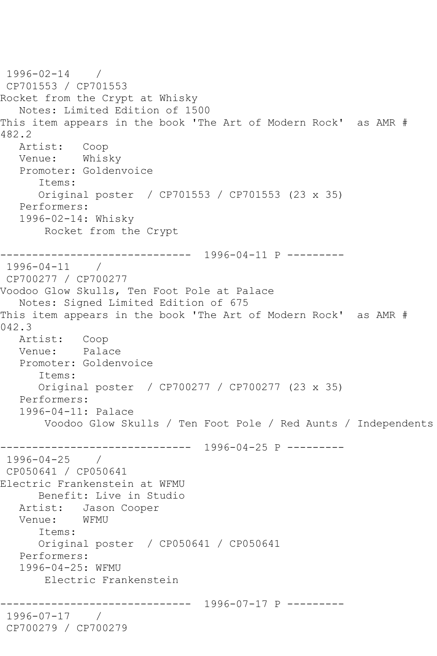```
1996-02-14 / 
CP701553 / CP701553
Rocket from the Crypt at Whisky
   Notes: Limited Edition of 1500
This item appears in the book 'The Art of Modern Rock' as AMR # 
482.2
   Artist: Coop
   Venue: Whisky
   Promoter: Goldenvoice
       Items:
       Original poster / CP701553 / CP701553 (23 x 35)
   Performers:
   1996-02-14: Whisky
        Rocket from the Crypt
       ------------------------------ 1996-04-11 P ---------
1996-04-11 / 
CP700277 / CP700277
Voodoo Glow Skulls, Ten Foot Pole at Palace
   Notes: Signed Limited Edition of 675
This item appears in the book 'The Art of Modern Rock' as AMR # 
042.3
   Artist: Coop
   Venue: Palace
   Promoter: Goldenvoice
       Items:
       Original poster / CP700277 / CP700277 (23 x 35)
   Performers:
   1996-04-11: Palace
        Voodoo Glow Skulls / Ten Foot Pole / Red Aunts / Independents
     ------------------------------ 1996-04-25 P ---------
1996-04-25 / 
CP050641 / CP050641
Electric Frankenstein at WFMU
      Benefit: Live in Studio
   Artist: Jason Cooper
   Venue: WFMU
      Items:
       Original poster / CP050641 / CP050641
   Performers:
   1996-04-25: WFMU
        Electric Frankenstein
            ------------------------------ 1996-07-17 P ---------
1996-07-17 / 
CP700279 / CP700279
```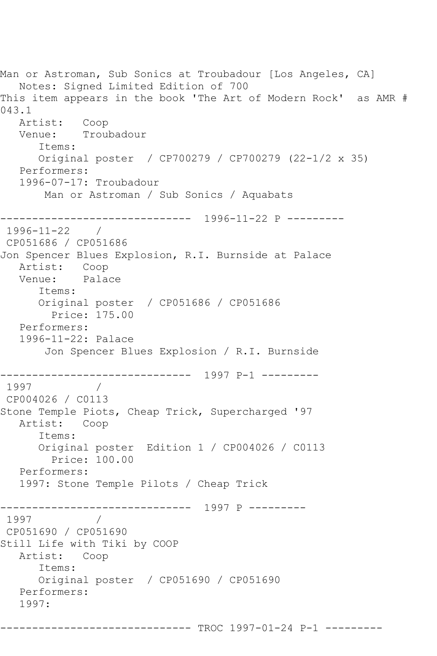```
Man or Astroman, Sub Sonics at Troubadour [Los Angeles, CA]
   Notes: Signed Limited Edition of 700
This item appears in the book 'The Art of Modern Rock' as AMR # 
043.1
   Artist: Coop
   Venue: Troubadour
      Items:
      Original poster / CP700279 / CP700279 (22-1/2 x 35)
   Performers:
   1996-07-17: Troubadour
       Man or Astroman / Sub Sonics / Aquabats
------------------------------ 1996-11-22 P ---------
1996-11-22 / 
CP051686 / CP051686
Jon Spencer Blues Explosion, R.I. Burnside at Palace
  Artist: Coop<br>Venue: Palace
  Venue:
      Items:
      Original poster / CP051686 / CP051686
        Price: 175.00
   Performers:
   1996-11-22: Palace
       Jon Spencer Blues Explosion / R.I. Burnside
------------------------------ 1997 P-1 ---------
1997 / 
CP004026 / C0113
Stone Temple Piots, Cheap Trick, Supercharged '97
   Artist: Coop
      Items:
      Original poster Edition 1 / CP004026 / C0113
         Price: 100.00
   Performers:
   1997: Stone Temple Pilots / Cheap Trick
------------------------------ 1997 P ---------
1997 / 
CP051690 / CP051690
Still Life with Tiki by COOP
   Artist: Coop
      Items:
      Original poster / CP051690 / CP051690
   Performers:
   1997:
```
------------------------------ TROC 1997-01-24 P-1 ---------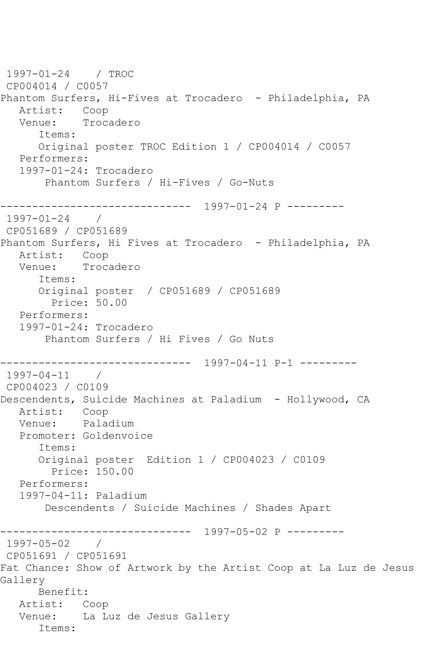1997-01-24 / TROC CP004014 / C0057 Phantom Surfers, Hi-Fives at Trocadero - Philadelphia, PA Artist: Coop<br>Venue: Troca Trocadero Items: Original poster TROC Edition 1 / CP004014 / C0057 Performers: 1997-01-24: Trocadero Phantom Surfers / Hi-Fives / Go-Nuts ------------------------------ 1997-01-24 P ---------  $1997 - 01 - 24$ CP051689 / CP051689 Phantom Surfers, Hi Fives at Trocadero - Philadelphia, PA Artist: Coop Venue: Trocadero Items: Original poster / CP051689 / CP051689 Price: 50.00 Performers: 1997-01-24: Trocadero Phantom Surfers / Hi Fives / Go Nuts ------------------------------ 1997-04-11 P-1 --------- 1997-04-11 / CP004023 / C0109 Descendents, Suicide Machines at Paladium - Hollywood, CA Artist: Coop Venue: Paladium Promoter: Goldenvoice Items: Original poster Edition 1 / CP004023 / C0109 Price: 150.00 Performers: 1997-04-11: Paladium Descendents / Suicide Machines / Shades Apart ------------------------------ 1997-05-02 P ---------  $1997 - 05 - 02$ CP051691 / CP051691 Fat Chance: Show of Artwork by the Artist Coop at La Luz de Jesus Gallery Benefit: Artist: Coop Venue: La Luz de Jesus Gallery Items: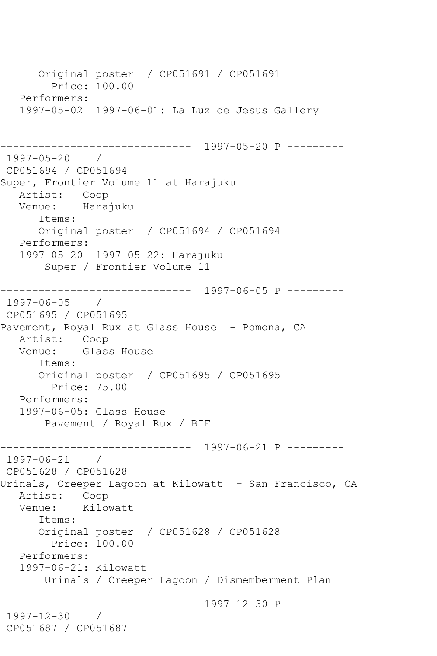Original poster / CP051691 / CP051691 Price: 100.00 Performers: 1997-05-02 1997-06-01: La Luz de Jesus Gallery ------------------------------ 1997-05-20 P --------- 1997-05-20 / CP051694 / CP051694 Super, Frontier Volume 11 at Harajuku Artist: Coop Venue: Harajuku Items: Original poster / CP051694 / CP051694 Performers: 1997-05-20 1997-05-22: Harajuku Super / Frontier Volume 11 ------------------------------ 1997-06-05 P --------- 1997-06-05 / CP051695 / CP051695 Pavement, Royal Rux at Glass House - Pomona, CA Artist: Coop<br>Venue: Glass Glass House Items: Original poster / CP051695 / CP051695 Price: 75.00 Performers: 1997-06-05: Glass House Pavement / Royal Rux / BIF ------------------------------ 1997-06-21 P --------- 1997-06-21 / CP051628 / CP051628 Urinals, Creeper Lagoon at Kilowatt - San Francisco, CA Artist: Coop<br>Venue: Kilow Kilowatt Items: Original poster / CP051628 / CP051628 Price: 100.00 Performers: 1997-06-21: Kilowatt Urinals / Creeper Lagoon / Dismemberment Plan ------------------------------ 1997-12-30 P --------- 1997-12-30 / CP051687 / CP051687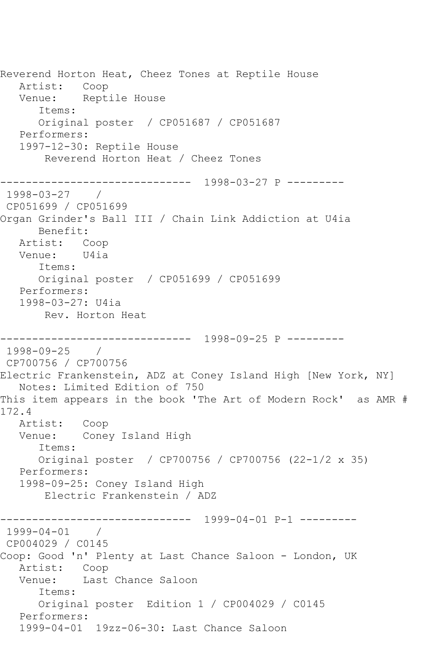Reverend Horton Heat, Cheez Tones at Reptile House Artist: Coop Venue: Reptile House Items: Original poster / CP051687 / CP051687 Performers: 1997-12-30: Reptile House Reverend Horton Heat / Cheez Tones ------------------------------ 1998-03-27 P --------- 1998-03-27 / CP051699 / CP051699 Organ Grinder's Ball III / Chain Link Addiction at U4ia Benefit: Artist: Coop<br>Venue: U4ia Venue: Items: Original poster / CP051699 / CP051699 Performers: 1998-03-27: U4ia Rev. Horton Heat ------------------------------ 1998-09-25 P --------- 1998-09-25 / CP700756 / CP700756 Electric Frankenstein, ADZ at Coney Island High [New York, NY] Notes: Limited Edition of 750 This item appears in the book 'The Art of Modern Rock' as AMR # 172.4 Artist: Coop Venue: Coney Island High Items: Original poster / CP700756 / CP700756 (22-1/2 x 35) Performers: 1998-09-25: Coney Island High Electric Frankenstein / ADZ ------------------------------ 1999-04-01 P-1 --------- 1999-04-01 / CP004029 / C0145 Coop: Good 'n' Plenty at Last Chance Saloon - London, UK Artist: Coop<br>Venue: Last Last Chance Saloon Items: Original poster Edition 1 / CP004029 / C0145 Performers: 1999-04-01 19zz-06-30: Last Chance Saloon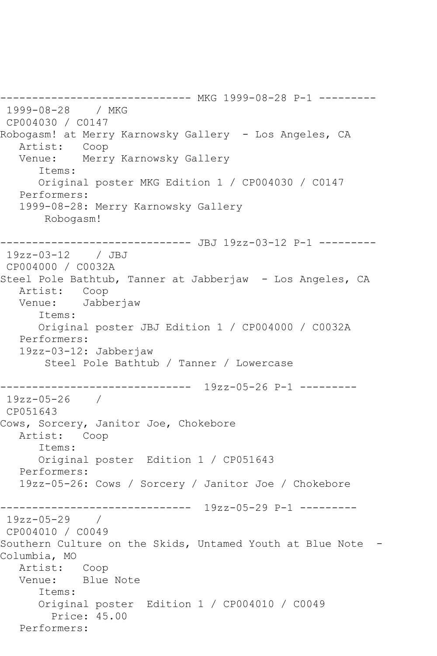-------------- MKG 1999-08-28 P-1 ---------1999-08-28 / MKG CP004030 / C0147 Robogasm! at Merry Karnowsky Gallery - Los Angeles, CA Artist: Coop Venue: Merry Karnowsky Gallery Items: Original poster MKG Edition 1 / CP004030 / C0147 Performers: 1999-08-28: Merry Karnowsky Gallery Robogasm! ------------------------------ JBJ 19zz-03-12 P-1 --------- 19zz-03-12 / JBJ CP004000 / C0032A Steel Pole Bathtub, Tanner at Jabberjaw - Los Angeles, CA<br>Artist: Coop Artist:<br>Venue: Jabberjaw Items: Original poster JBJ Edition 1 / CP004000 / C0032A Performers: 19zz-03-12: Jabberjaw Steel Pole Bathtub / Tanner / Lowercase ------------------------------ 19zz-05-26 P-1 --------- 19zz-05-26 / CP051643 Cows, Sorcery, Janitor Joe, Chokebore Artist: Coop Items: Original poster Edition 1 / CP051643 Performers: 19zz-05-26: Cows / Sorcery / Janitor Joe / Chokebore ------------------------------ 19zz-05-29 P-1 --------- 19zz-05-29 / CP004010 / C0049 Southern Culture on the Skids, Untamed Youth at Blue Note -Columbia, MO Artist: Coop Venue: Blue Note Items: Original poster Edition 1 / CP004010 / C0049 Price: 45.00 Performers: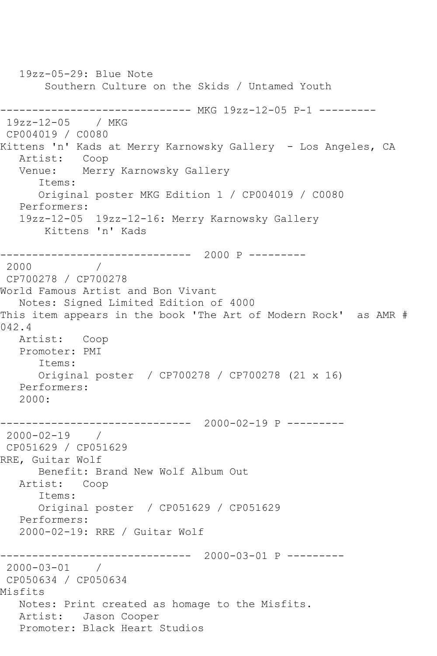19zz-05-29: Blue Note Southern Culture on the Skids / Untamed Youth ------------------------------ MKG 19zz-12-05 P-1 --------- 19zz-12-05 / MKG CP004019 / C0080 Kittens 'n' Kads at Merry Karnowsky Gallery - Los Angeles, CA<br>Artist: Coop Artist: Venue: Merry Karnowsky Gallery Items: Original poster MKG Edition 1 / CP004019 / C0080 Performers: 19zz-12-05 19zz-12-16: Merry Karnowsky Gallery Kittens 'n' Kads ------------------------------ 2000 P --------- 2000 / CP700278 / CP700278 World Famous Artist and Bon Vivant Notes: Signed Limited Edition of 4000 This item appears in the book 'The Art of Modern Rock' as AMR # 042.4 Artist: Coop Promoter: PMI Items: Original poster / CP700278 / CP700278 (21 x 16) Performers: 2000: ------------------------------ 2000-02-19 P --------- 2000-02-19 / CP051629 / CP051629 RRE, Guitar Wolf Benefit: Brand New Wolf Album Out Artist: Coop Items: Original poster / CP051629 / CP051629 Performers: 2000-02-19: RRE / Guitar Wolf ------------------------------ 2000-03-01 P --------- 2000-03-01 / CP050634 / CP050634 Misfits Notes: Print created as homage to the Misfits. Artist: Jason Cooper Promoter: Black Heart Studios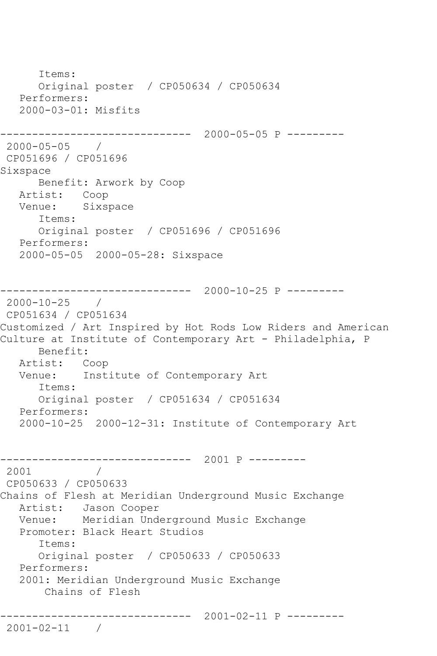Items: Original poster / CP050634 / CP050634 Performers: 2000-03-01: Misfits ------------------------------ 2000-05-05 P --------- 2000-05-05 / CP051696 / CP051696 Sixspace Benefit: Arwork by Coop Artist: Coop Venue: Sixspace Items: Original poster / CP051696 / CP051696 Performers: 2000-05-05 2000-05-28: Sixspace ------------------------------ 2000-10-25 P --------- 2000-10-25 / CP051634 / CP051634 Customized / Art Inspired by Hot Rods Low Riders and American Culture at Institute of Contemporary Art - Philadelphia, P Benefit: Artist: Coop<br>Venue: Inst Institute of Contemporary Art Items: Original poster / CP051634 / CP051634 Performers: 2000-10-25 2000-12-31: Institute of Contemporary Art ------------------------------ 2001 P --------- 2001 / CP050633 / CP050633 Chains of Flesh at Meridian Underground Music Exchange Artist: Jason Cooper Venue: Meridian Underground Music Exchange Promoter: Black Heart Studios Items: Original poster / CP050633 / CP050633 Performers: 2001: Meridian Underground Music Exchange Chains of Flesh ------------------------------ 2001-02-11 P --------- 2001-02-11 /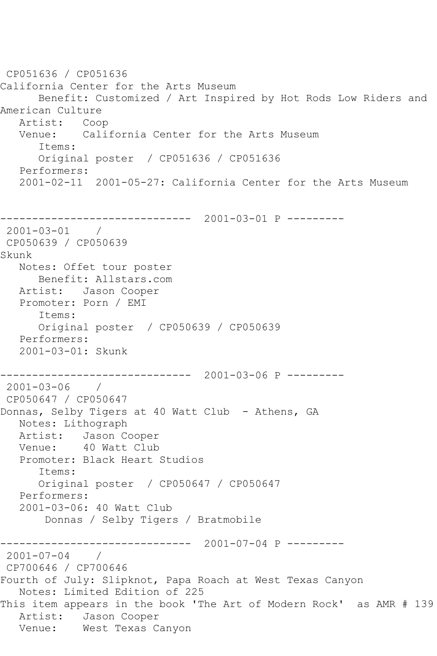CP051636 / CP051636 California Center for the Arts Museum Benefit: Customized / Art Inspired by Hot Rods Low Riders and American Culture Artist: Coop Venue: California Center for the Arts Museum Items: Original poster / CP051636 / CP051636 Performers: 2001-02-11 2001-05-27: California Center for the Arts Museum ------------------------------ 2001-03-01 P --------- 2001-03-01 / CP050639 / CP050639 Skunk Notes: Offet tour poster Benefit: Allstars.com Artist: Jason Cooper Promoter: Porn / EMI Items: Original poster / CP050639 / CP050639 Performers: 2001-03-01: Skunk ------------------------------ 2001-03-06 P --------- 2001-03-06 / CP050647 / CP050647 Donnas, Selby Tigers at 40 Watt Club - Athens, GA Notes: Lithograph Artist: Jason Cooper Venue: 40 Watt Club Promoter: Black Heart Studios Items: Original poster / CP050647 / CP050647 Performers: 2001-03-06: 40 Watt Club Donnas / Selby Tigers / Bratmobile ------------------------------ 2001-07-04 P ---------  $2001 - 07 - 04$  / CP700646 / CP700646 Fourth of July: Slipknot, Papa Roach at West Texas Canyon Notes: Limited Edition of 225 This item appears in the book 'The Art of Modern Rock' as AMR # 139 Artist: Jason Cooper Venue: West Texas Canyon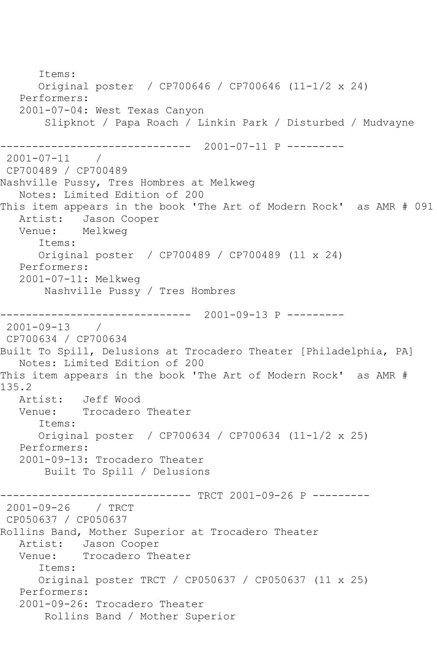Items: Original poster / CP700646 / CP700646 (11-1/2 x 24) Performers: 2001-07-04: West Texas Canyon Slipknot / Papa Roach / Linkin Park / Disturbed / Mudvayne ------------------------------ 2001-07-11 P --------- 2001-07-11 / CP700489 / CP700489 Nashville Pussy, Tres Hombres at Melkweg Notes: Limited Edition of 200 This item appears in the book 'The Art of Modern Rock' as AMR # 091 Artist: Jason Cooper Venue: Melkweg Items: Original poster / CP700489 / CP700489 (11 x 24) Performers: 2001-07-11: Melkweg Nashville Pussy / Tres Hombres ------------------------------ 2001-09-13 P --------- 2001-09-13 / CP700634 / CP700634 Built To Spill, Delusions at Trocadero Theater [Philadelphia, PA] Notes: Limited Edition of 200 This item appears in the book 'The Art of Modern Rock' as AMR # 135.2 Artist: Jeff Wood Venue: Trocadero Theater Items: Original poster / CP700634 / CP700634 (11-1/2 x 25) Performers: 2001-09-13: Trocadero Theater Built To Spill / Delusions ------------------------------ TRCT 2001-09-26 P --------- 2001-09-26 / TRCT CP050637 / CP050637 Rollins Band, Mother Superior at Trocadero Theater Artist: Jason Cooper<br>Venue: Trocadero Th Trocadero Theater Items: Original poster TRCT / CP050637 / CP050637 (11 x 25) Performers: 2001-09-26: Trocadero Theater Rollins Band / Mother Superior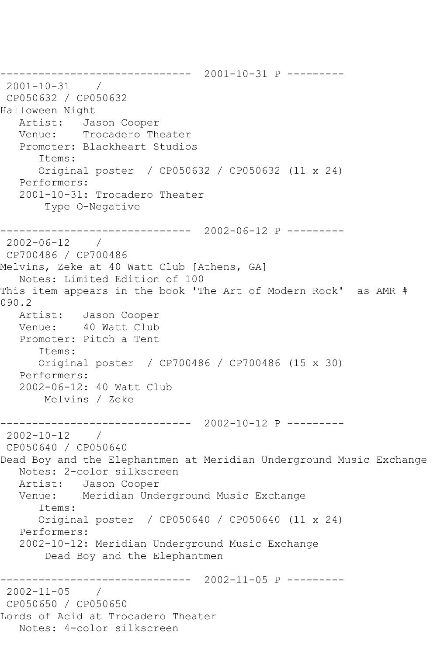------------------------------ 2001-10-31 P --------- 2001-10-31 / CP050632 / CP050632 Halloween Night Artist: Jason Cooper Venue: Trocadero Theater Promoter: Blackheart Studios Items: Original poster / CP050632 / CP050632 (11 x 24) Performers: 2001-10-31: Trocadero Theater Type O-Negative ------------------------------ 2002-06-12 P --------- 2002-06-12 / CP700486 / CP700486 Melvins, Zeke at 40 Watt Club [Athens, GA] Notes: Limited Edition of 100 This item appears in the book 'The Art of Modern Rock' as AMR # 090.2 Artist: Jason Cooper Venue: 40 Watt Club Promoter: Pitch a Tent Items: Original poster / CP700486 / CP700486 (15 x 30) Performers: 2002-06-12: 40 Watt Club Melvins / Zeke ------------------------------ 2002-10-12 P --------- 2002-10-12 / CP050640 / CP050640 Dead Boy and the Elephantmen at Meridian Underground Music Exchange Notes: 2-color silkscreen Artist: Jason Cooper Venue: Meridian Underground Music Exchange Items: Original poster / CP050640 / CP050640 (11 x 24) Performers: 2002-10-12: Meridian Underground Music Exchange Dead Boy and the Elephantmen ------------------------------ 2002-11-05 P --------- 2002-11-05 / CP050650 / CP050650 Lords of Acid at Trocadero Theater Notes: 4-color silkscreen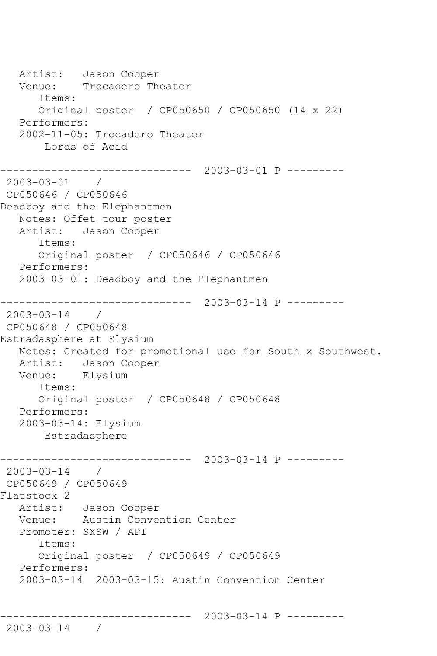```
Artist: Jason Cooper<br>Venue: Trocadero Th
            Trocadero Theater
       Items:
       Original poster / CP050650 / CP050650 (14 x 22)
    Performers:
    2002-11-05: Trocadero Theater
        Lords of Acid
                  ------------------------------ 2003-03-01 P ---------
2003-03-01 / 
CP050646 / CP050646
Deadboy and the Elephantmen
   Notes: Offet tour poster
   Artist: Jason Cooper
       Items:
       Original poster / CP050646 / CP050646
   Performers:
    2003-03-01: Deadboy and the Elephantmen
      ------------------------------ 2003-03-14 P ---------
2003-03-14 / 
CP050648 / CP050648
Estradasphere at Elysium
   Notes: Created for promotional use for South x Southwest.
   Artist: Jason Cooper
   Venue: Elysium
       Items:
       Original poster / CP050648 / CP050648
   Performers:
    2003-03-14: Elysium
        Estradasphere
------------------------------ 2003-03-14 P ---------
2003-03-14 / 
CP050649 / CP050649
Flatstock 2
   Artist: Jason Cooper
   Venue: Austin Convention Center
   Promoter: SXSW / API
       Items:
       Original poster / CP050649 / CP050649
   Performers:
   2003-03-14 2003-03-15: Austin Convention Center
              ------------------------------ 2003-03-14 P ---------
2003-03-14 /
```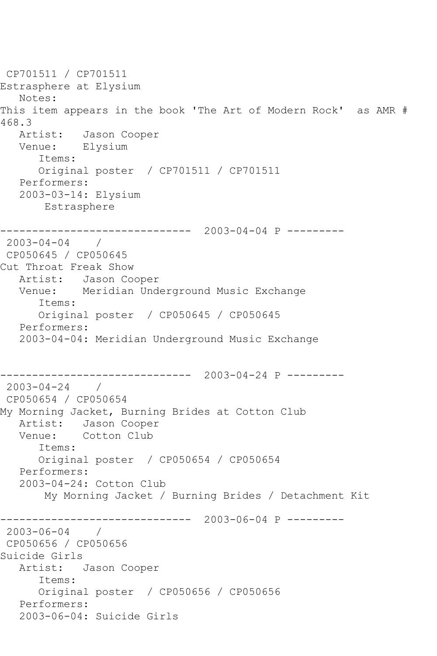CP701511 / CP701511 Estrasphere at Elysium Notes: This item appears in the book 'The Art of Modern Rock' as AMR # 468.3<br>Artist: Jason Cooper Venue: Elysium Items: Original poster / CP701511 / CP701511 Performers: 2003-03-14: Elysium Estrasphere ------------------------------ 2003-04-04 P --------- 2003-04-04 / CP050645 / CP050645 Cut Throat Freak Show Artist: Jason Cooper Venue: Meridian Underground Music Exchange Items: Original poster / CP050645 / CP050645 Performers: 2003-04-04: Meridian Underground Music Exchange ------------------------------ 2003-04-24 P --------- 2003-04-24 / CP050654 / CP050654 My Morning Jacket, Burning Brides at Cotton Club Artist: Jason Cooper<br>Venue: Cotton Club Cotton Club Items: Original poster / CP050654 / CP050654 Performers: 2003-04-24: Cotton Club My Morning Jacket / Burning Brides / Detachment Kit ------------------------------ 2003-06-04 P --------- 2003-06-04 / CP050656 / CP050656 Suicide Girls Artist: Jason Cooper Items: Original poster / CP050656 / CP050656 Performers: 2003-06-04: Suicide Girls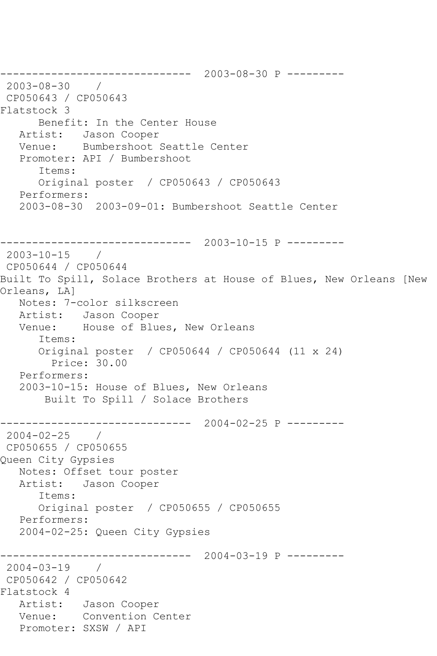------------------------------ 2003-08-30 P --------- 2003-08-30 / CP050643 / CP050643 Flatstock 3 Benefit: In the Center House Artist: Jason Cooper Venue: Bumbershoot Seattle Center Promoter: API / Bumbershoot Items: Original poster / CP050643 / CP050643 Performers: 2003-08-30 2003-09-01: Bumbershoot Seattle Center ------------------------------ 2003-10-15 P --------- 2003-10-15 / CP050644 / CP050644 Built To Spill, Solace Brothers at House of Blues, New Orleans [New Orleans, LA] Notes: 7-color silkscreen Artist: Jason Cooper Venue: House of Blues, New Orleans Items: Original poster / CP050644 / CP050644 (11 x 24) Price: 30.00 Performers: 2003-10-15: House of Blues, New Orleans Built To Spill / Solace Brothers ------------------------------ 2004-02-25 P --------- 2004-02-25 / CP050655 / CP050655 Queen City Gypsies Notes: Offset tour poster Artist: Jason Cooper Items: Original poster / CP050655 / CP050655 Performers: 2004-02-25: Queen City Gypsies ------------------------------ 2004-03-19 P --------- 2004-03-19 / CP050642 / CP050642 Flatstock 4 Artist: Jason Cooper Venue: Convention Center Promoter: SXSW / API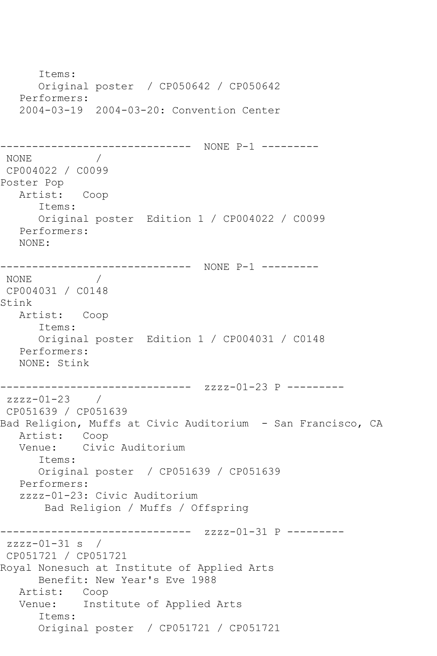```
 Items:
      Original poster / CP050642 / CP050642
   Performers:
   2004-03-19 2004-03-20: Convention Center
------------------------------ NONE P-1 ---------
NONE / 
CP004022 / C0099
Poster Pop
   Artist: Coop
      Items:
      Original poster Edition 1 / CP004022 / C0099
   Performers:
   NONE:
------------------------------ NONE P-1 ---------
NONE / 
CP004031 / C0148
Stink
   Artist: Coop
      Items:
      Original poster Edition 1 / CP004031 / C0148
   Performers:
   NONE: Stink
------------------------------ zzzz-01-23 P ---------
zzzz-01-23 / 
CP051639 / CP051639
Bad Religion, Muffs at Civic Auditorium - San Francisco, CA
   Artist: Coop
   Venue: Civic Auditorium
      Items:
      Original poster / CP051639 / CP051639
   Performers:
   zzzz-01-23: Civic Auditorium
       Bad Religion / Muffs / Offspring
------------------------------ zzzz-01-31 P ---------
zzzz-01-31 s /
CP051721 / CP051721
Royal Nonesuch at Institute of Applied Arts
      Benefit: New Year's Eve 1988
   Artist: Coop
   Venue: Institute of Applied Arts
      Items:
      Original poster / CP051721 / CP051721
```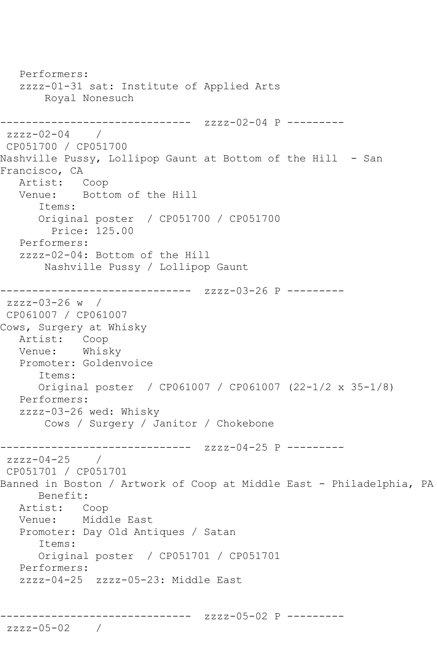```
 Performers:
   zzzz-01-31 sat: Institute of Applied Arts
        Royal Nonesuch
------------------------------ zzzz-02-04 P ---------
zzzz-02-04 / 
CP051700 / CP051700
Nashville Pussy, Lollipop Gaunt at Bottom of the Hill - San 
Francisco, CA
  Artist: Coop<br>Venue: Bott
           Bottom of the Hill
       Items:
       Original poster / CP051700 / CP051700
         Price: 125.00
   Performers:
   zzzz-02-04: Bottom of the Hill
        Nashville Pussy / Lollipop Gaunt
------------------------------ zzzz-03-26 P ---------
zzzz-03-26 w / 
CP061007 / CP061007
Cows, Surgery at Whisky
   Artist: Coop
   Venue: Whisky
   Promoter: Goldenvoice
       Items:
       Original poster / CP061007 / CP061007 (22-1/2 x 35-1/8)
   Performers:
   zzzz-03-26 wed: Whisky
        Cows / Surgery / Janitor / Chokebone
------------------------------ zzzz-04-25 P ---------
zzzz-04-25 /
CP051701 / CP051701
Banned in Boston / Artwork of Coop at Middle East - Philadelphia, PA
      Benefit: 
   Artist: Coop
   Venue: Middle East
   Promoter: Day Old Antiques / Satan
       Items:
      Original poster / CP051701 / CP051701
   Performers:
   zzzz-04-25 zzzz-05-23: Middle East
------------------------------ zzzz-05-02 P ---------
```

```
zzzz-05-02 /
```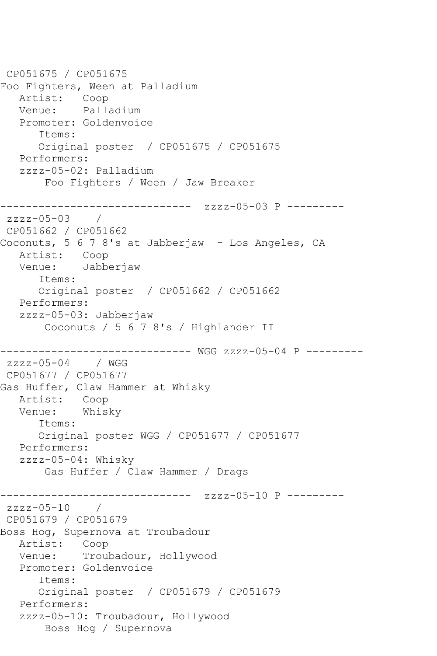CP051675 / CP051675 Foo Fighters, Ween at Palladium Artist: Coop Venue: Palladium Promoter: Goldenvoice Items: Original poster / CP051675 / CP051675 Performers: zzzz-05-02: Palladium Foo Fighters / Ween / Jaw Breaker ------------------------------ zzzz-05-03 P -------- zzzz-05-03 / CP051662 / CP051662 Coconuts, 5 6 7 8's at Jabberjaw - Los Angeles, CA Artist: Coop Venue: Jabberjaw Items: Original poster / CP051662 / CP051662 Performers: zzzz-05-03: Jabberjaw Coconuts / 5 6 7 8's / Highlander II ------------------------------ WGG zzzz-05-04 P -------- zzzz-05-04 / WGG CP051677 / CP051677 Gas Huffer, Claw Hammer at Whisky Artist: Coop Venue: Whisky Items: Original poster WGG / CP051677 / CP051677 Performers: zzzz-05-04: Whisky Gas Huffer / Claw Hammer / Drags ------------------------------ zzzz-05-10 P --------  $zzzz-05-10$ CP051679 / CP051679 Boss Hog, Supernova at Troubadour Artist: Coop Venue: Troubadour, Hollywood Promoter: Goldenvoice Items: Original poster / CP051679 / CP051679 Performers: zzzz-05-10: Troubadour, Hollywood Boss Hog / Supernova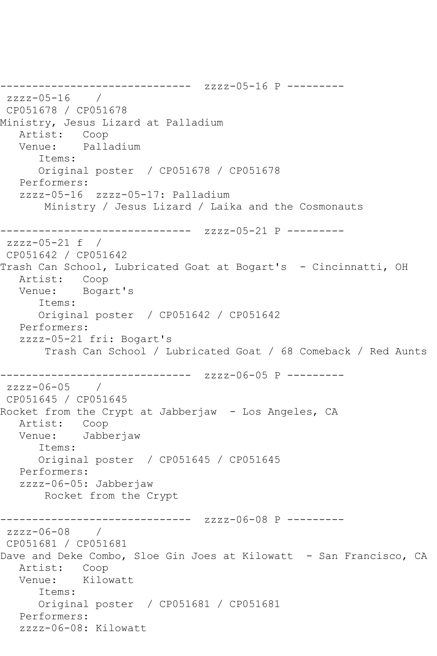------------------------------ zzzz-05-16 P -------- zzzz-05-16 / CP051678 / CP051678 Ministry, Jesus Lizard at Palladium<br>Artist: Coop Artist: Venue: Palladium Items: Original poster / CP051678 / CP051678 Performers: zzzz-05-16 zzzz-05-17: Palladium Ministry / Jesus Lizard / Laika and the Cosmonauts ------------------------------ zzzz-05-21 P -------- zzzz-05-21 f / CP051642 / CP051642 Trash Can School, Lubricated Goat at Bogart's - Cincinnatti, OH Artist: Coop Venue: Bogart's Items: Original poster / CP051642 / CP051642 Performers: zzzz-05-21 fri: Bogart's Trash Can School / Lubricated Goat / 68 Comeback / Red Aunts ------------------------------ zzzz-06-05 P --------  $zzzz-06-05$ CP051645 / CP051645 Rocket from the Crypt at Jabberjaw - Los Angeles, CA Artist: Coop Venue: Jabberjaw Items: Original poster / CP051645 / CP051645 Performers: zzzz-06-05: Jabberjaw Rocket from the Crypt ------------------------------ zzzz-06-08 P -------- zzzz-06-08 / CP051681 / CP051681 Dave and Deke Combo, Sloe Gin Joes at Kilowatt - San Francisco, CA Artist: Coop Venue: Kilowatt Items: Original poster / CP051681 / CP051681 Performers: zzzz-06-08: Kilowatt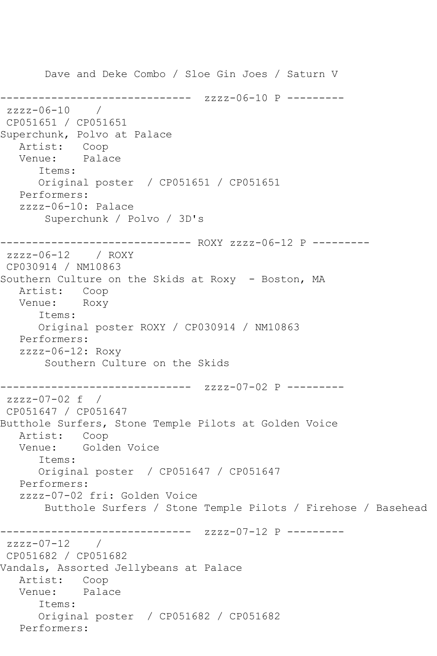Dave and Deke Combo / Sloe Gin Joes / Saturn V ------------------------------ zzzz-06-10 P -------- zzzz-06-10 / CP051651 / CP051651 Superchunk, Polvo at Palace Artist: Coop<br>Venue: Palace Venue: Items: Original poster / CP051651 / CP051651 Performers: zzzz-06-10: Palace Superchunk / Polvo / 3D's ------------------------------ ROXY zzzz-06-12 P -------- zzzz-06-12 / ROXY CP030914 / NM10863 Southern Culture on the Skids at Roxy - Boston, MA Artist: Coop Venue: Roxy Items: Original poster ROXY / CP030914 / NM10863 Performers: zzzz-06-12: Roxy Southern Culture on the Skids ------------------------------ zzzz-07-02 P -------- zzzz-07-02 f / CP051647 / CP051647 Butthole Surfers, Stone Temple Pilots at Golden Voice Artist: Coop<br>Venue: Golde Golden Voice Items: Original poster / CP051647 / CP051647 Performers: zzzz-07-02 fri: Golden Voice Butthole Surfers / Stone Temple Pilots / Firehose / Basehead ------------------------------ zzzz-07-12 P --------  $zzzz-07-12$ CP051682 / CP051682 Vandals, Assorted Jellybeans at Palace Artist: Coop<br>Venue: Palace Venue: Items: Original poster / CP051682 / CP051682 Performers: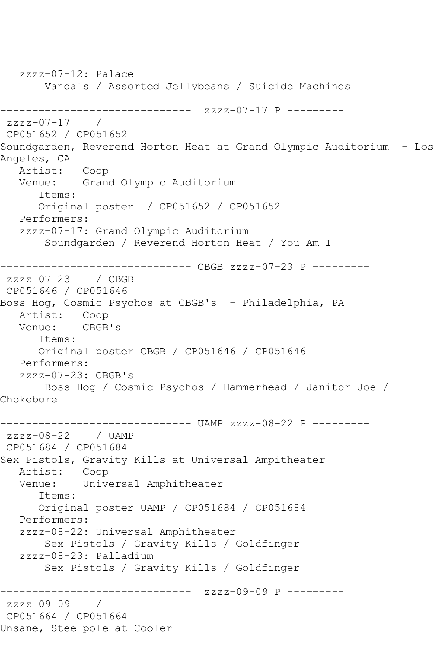zzzz-07-12: Palace Vandals / Assorted Jellybeans / Suicide Machines ------------------------------ zzzz-07-17 P --------  $zzzz-07-17$ CP051652 / CP051652 Soundgarden, Reverend Horton Heat at Grand Olympic Auditorium - Los Angeles, CA Artist: Coop Venue: Grand Olympic Auditorium Items: Original poster / CP051652 / CP051652 Performers: zzzz-07-17: Grand Olympic Auditorium Soundgarden / Reverend Horton Heat / You Am I ------------------------------ CBGB zzzz-07-23 P -------- zzzz-07-23 / CBGB CP051646 / CP051646 Boss Hog, Cosmic Psychos at CBGB's - Philadelphia, PA Artist: Coop Venue: CBGB's Items: Original poster CBGB / CP051646 / CP051646 Performers:  $zzzz-07-23: CBGB's$  Boss Hog / Cosmic Psychos / Hammerhead / Janitor Joe / Chokebore ------------------------------ UAMP zzzz-08-22 P -------- zzzz-08-22 / UAMP CP051684 / CP051684 Sex Pistols, Gravity Kills at Universal Ampitheater Artist: Coop Venue: Universal Amphitheater Items: Original poster UAMP / CP051684 / CP051684 Performers: zzzz-08-22: Universal Amphitheater Sex Pistols / Gravity Kills / Goldfinger zzzz-08-23: Palladium Sex Pistols / Gravity Kills / Goldfinger ------------------------------ zzzz-09-09 P -------- zzzz-09-09 / CP051664 / CP051664 Unsane, Steelpole at Cooler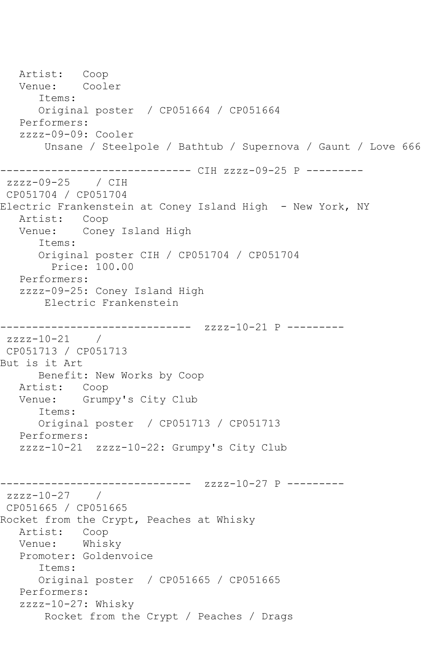Artist: Coop<br>Venue: Cooler Venue: Items: Original poster / CP051664 / CP051664 Performers: zzzz-09-09: Cooler Unsane / Steelpole / Bathtub / Supernova / Gaunt / Love 666 ---------------- CIH zzzz-09-25 P --------zzzz-09-25 / CIH CP051704 / CP051704 Electric Frankenstein at Coney Island High - New York, NY Artist: Coop Venue: Coney Island High Items: Original poster CIH / CP051704 / CP051704 Price: 100.00 Performers: zzzz-09-25: Coney Island High Electric Frankenstein ------------------------------ zzzz-10-21 P --------  $zzzz-10-21$  / CP051713 / CP051713 But is it Art Benefit: New Works by Coop Artist: Coop Venue: Grumpy's City Club Items: Original poster / CP051713 / CP051713 Performers: zzzz-10-21 zzzz-10-22: Grumpy's City Club ------------ zzzz-10-27 P --------zzzz-10-27 / CP051665 / CP051665 Rocket from the Crypt, Peaches at Whisky Artist: Coop Venue: Whisky Promoter: Goldenvoice Items: Original poster / CP051665 / CP051665 Performers: zzzz-10-27: Whisky Rocket from the Crypt / Peaches / Drags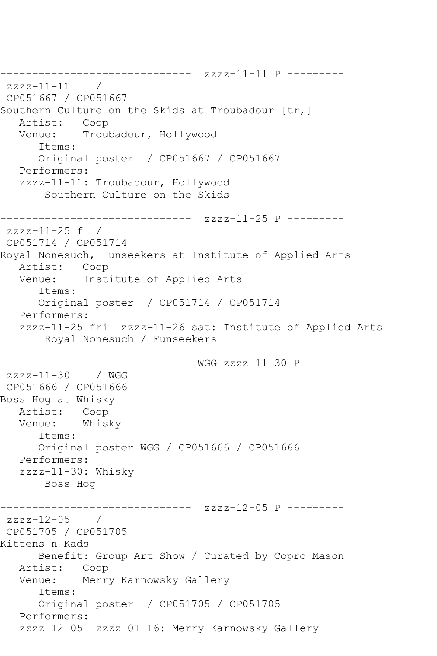------------------------------ zzzz-11-11 P --------  $zzzz-11-11$ CP051667 / CP051667 Southern Culture on the Skids at Troubadour [tr,] Artist: Coop Venue: Troubadour, Hollywood Items: Original poster / CP051667 / CP051667 Performers: zzzz-11-11: Troubadour, Hollywood Southern Culture on the Skids ------------------------------ zzzz-11-25 P -------- zzzz-11-25 f / CP051714 / CP051714 Royal Nonesuch, Funseekers at Institute of Applied Arts Artist: Coop Venue: Institute of Applied Arts Items: Original poster / CP051714 / CP051714 Performers: zzzz-11-25 fri zzzz-11-26 sat: Institute of Applied Arts Royal Nonesuch / Funseekers ------------------------------ WGG zzzz-11-30 P --------  $zzzz-11-30$  / WGG CP051666 / CP051666 Boss Hog at Whisky Artist: Coop Venue: Whisky Items: Original poster WGG / CP051666 / CP051666 Performers: zzzz-11-30: Whisky Boss Hog ------------------------------ zzzz-12-05 P -------- zzzz-12-05 / CP051705 / CP051705 Kittens n Kads Benefit: Group Art Show / Curated by Copro Mason Artist: Coop Venue: Merry Karnowsky Gallery Items: Original poster / CP051705 / CP051705 Performers: zzzz-12-05 zzzz-01-16: Merry Karnowsky Gallery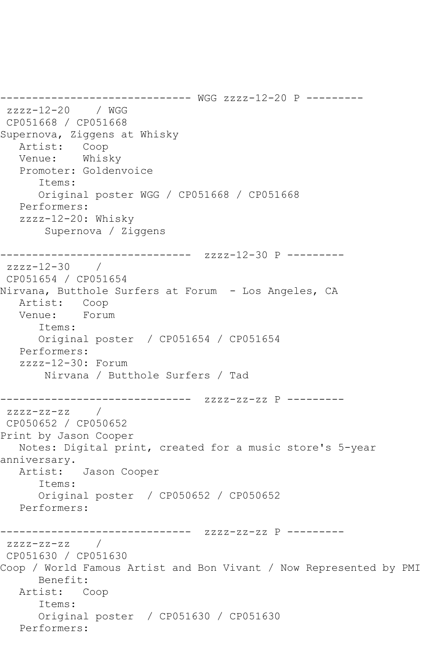------------------------------ WGG zzzz-12-20 P -------- zzzz-12-20 / WGG CP051668 / CP051668 Supernova, Ziggens at Whisky Artist: Coop Venue: Whisky Promoter: Goldenvoice Items: Original poster WGG / CP051668 / CP051668 Performers: zzzz-12-20: Whisky Supernova / Ziggens ------------- zzzz-12-30 P -------- $zzzz-12-30$  / CP051654 / CP051654 Nirvana, Butthole Surfers at Forum - Los Angeles, CA Artist: Coop<br>Venue: Forum Venue: Items: Original poster / CP051654 / CP051654 Performers: zzzz-12-30: Forum Nirvana / Butthole Surfers / Tad ------------------------------ zzzz-zz-zz P --------  $zzzz-zz-zz$  / CP050652 / CP050652 Print by Jason Cooper Notes: Digital print, created for a music store's 5-year anniversary. Artist: Jason Cooper Items: Original poster / CP050652 / CP050652 Performers: ------------------------------ zzzz-zz-zz P --------  $zzzz-zz-zz$  / CP051630 / CP051630 Coop / World Famous Artist and Bon Vivant / Now Represented by PMI Benefit: Artist: Coop Items: Original poster / CP051630 / CP051630 Performers: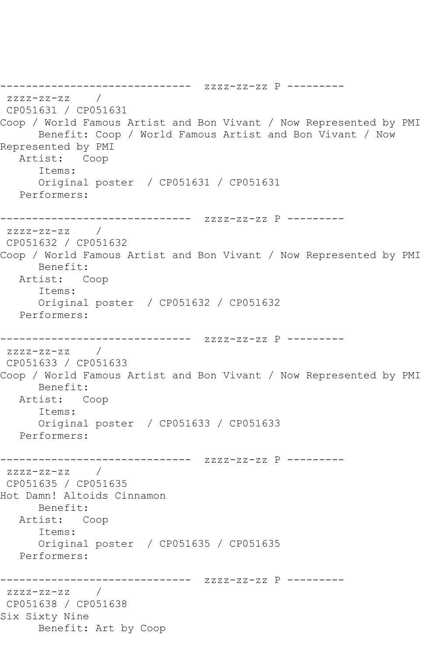------------------------------ zzzz-zz-zz P -------- zzzz-zz-zz / CP051631 / CP051631 Coop / World Famous Artist and Bon Vivant / Now Represented by PMI Benefit: Coop / World Famous Artist and Bon Vivant / Now Represented by PMI Artist: Coop Items: Original poster / CP051631 / CP051631 Performers: ------------------------------ zzzz-zz-zz P -------- zzzz-zz-zz / CP051632 / CP051632 Coop / World Famous Artist and Bon Vivant / Now Represented by PMI Benefit: Artist: Coop Items: Original poster / CP051632 / CP051632 Performers: ------------------------------ zzzz-zz-zz P -------- zzzz-zz-zz / CP051633 / CP051633 Coop / World Famous Artist and Bon Vivant / Now Represented by PMI Benefit: Artist: Coop Items: Original poster / CP051633 / CP051633 Performers: ------------------------------ zzzz-zz-zz P --------  $zzzz-zz-zz$  / CP051635 / CP051635 Hot Damn! Altoids Cinnamon Benefit: Artist: Coop Items: Original poster / CP051635 / CP051635 Performers: ------------------------------ zzzz-zz-zz P -------- zzzz-zz-zz / CP051638 / CP051638 Six Sixty Nine Benefit: Art by Coop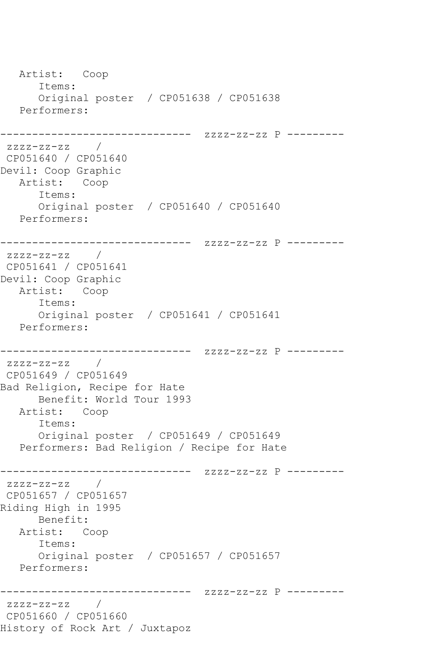```
 Artist: Coop
      Items:
      Original poster / CP051638 / CP051638
   Performers:
------------------------------ zzzz-zz-zz P ---------
zzzz-zz-zz / 
CP051640 / CP051640
Devil: Coop Graphic
   Artist: Coop
      Items:
      Original poster / CP051640 / CP051640
   Performers:
------------------------------ zzzz-zz-zz P ---------
zzzz-zz-zz /
CP051641 / CP051641
Devil: Coop Graphic
   Artist: Coop
      Items:
      Original poster / CP051641 / CP051641
   Performers:
------------------------------ zzzz-zz-zz P ---------
zzzz-zz-zz / 
CP051649 / CP051649
Bad Religion, Recipe for Hate
      Benefit: World Tour 1993
   Artist: Coop
      Items:
      Original poster / CP051649 / CP051649
   Performers: Bad Religion / Recipe for Hate
------------------------------ zzzz-zz-zz P ---------
zzzz-zz-zz / 
CP051657 / CP051657
Riding High in 1995
      Benefit: 
   Artist: Coop
      Items:
      Original poster / CP051657 / CP051657
   Performers:
------------------------------ zzzz-zz-zz P ---------
zzzz-zz-zz / 
CP051660 / CP051660
History of Rock Art / Juxtapoz
```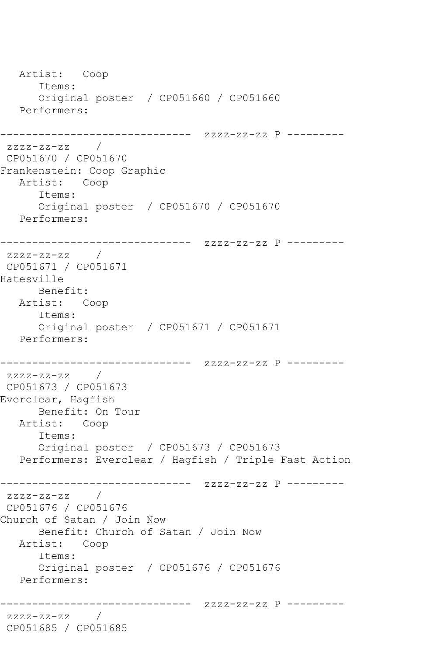```
 Artist: Coop
       Items:
      Original poster / CP051660 / CP051660
   Performers:
------------------------------ zzzz-zz-zz P ---------
zzzz-zz-zz /
CP051670 / CP051670
Frankenstein: Coop Graphic
   Artist: Coop
       Items:
      Original poster / CP051670 / CP051670
   Performers:
------------------------------ zzzz-zz-zz P ---------
zzzz-zz-zz /
CP051671 / CP051671
Hatesville
      Benefit: 
   Artist: Coop
       Items:
      Original poster / CP051671 / CP051671
   Performers:
------------------------------ zzzz-zz-zz P ---------
zzzz-zz-zz / 
CP051673 / CP051673
Everclear, Hagfish
      Benefit: On Tour
   Artist: Coop
       Items:
       Original poster / CP051673 / CP051673
   Performers: Everclear / Hagfish / Triple Fast Action
------------------------------ zzzz-zz-zz P ---------
zzzz-zz-zz / 
CP051676 / CP051676
Church of Satan / Join Now
      Benefit: Church of Satan / Join Now
   Artist: Coop
       Items:
      Original poster / CP051676 / CP051676
   Performers:
                    ------------------------------ zzzz-zz-zz P ---------
zzzz-zz-zz / 
CP051685 / CP051685
```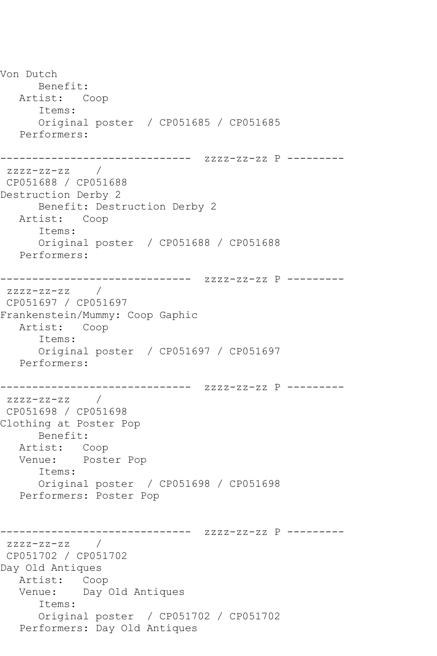Von Dutch Benefit: Artist: Coop Items: Original poster / CP051685 / CP051685 Performers: ------------------------------ zzzz-zz-zz P -------- zzzz-zz-zz / CP051688 / CP051688 Destruction Derby 2 Benefit: Destruction Derby 2 Artist: Coop Items: Original poster / CP051688 / CP051688 Performers: ------------------------------ zzzz-zz-zz P -------- zzzz-zz-zz / CP051697 / CP051697 Frankenstein/Mummy: Coop Gaphic Artist: Coop Items: Original poster / CP051697 / CP051697 Performers: ------------------------------ zzzz-zz-zz P --------  $zzzz-zz-zz$  / CP051698 / CP051698 Clothing at Poster Pop Benefit: Artist: Coop Venue: Poster Pop Items: Original poster / CP051698 / CP051698 Performers: Poster Pop ------------------------------ zzzz-zz-zz P --------  $zzzz-zz-zz$  / CP051702 / CP051702 Day Old Antiques Artist: Coop Venue: Day Old Antiques Items: Original poster / CP051702 / CP051702 Performers: Day Old Antiques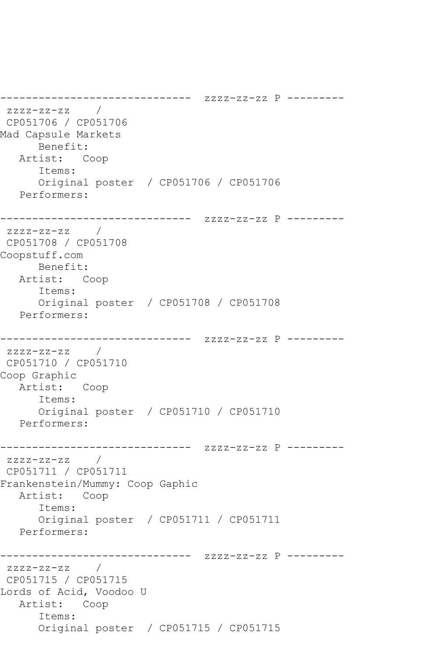```
------------------------------ zzzz-zz-zz P ---------
zzzz-zz-zz / 
CP051706 / CP051706
Mad Capsule Markets
      Benefit: 
   Artist: Coop
       Items:
       Original poster / CP051706 / CP051706
   Performers:
------------------------------ zzzz-zz-zz P ---------
zzzz-zz-zz / 
CP051708 / CP051708
Coopstuff.com
      Benefit: 
   Artist: Coop
       Items:
       Original poster / CP051708 / CP051708
   Performers:
------------------------------ zzzz-zz-zz P ---------
zzzz-zz-zz / 
CP051710 / CP051710
Coop Graphic
   Artist: Coop
       Items:
       Original poster / CP051710 / CP051710
   Performers:
------------------------------ zzzz-zz-zz P ---------
zzzz-zz-zz / 
CP051711 / CP051711
Frankenstein/Mummy: Coop Gaphic
   Artist: Coop
       Items:
       Original poster / CP051711 / CP051711
   Performers:
                    ------------------------------ zzzz-zz-zz P ---------
zzzz-zz-zz /
CP051715 / CP051715
Lords of Acid, Voodoo U
   Artist: Coop
       Items:
       Original poster / CP051715 / CP051715
```